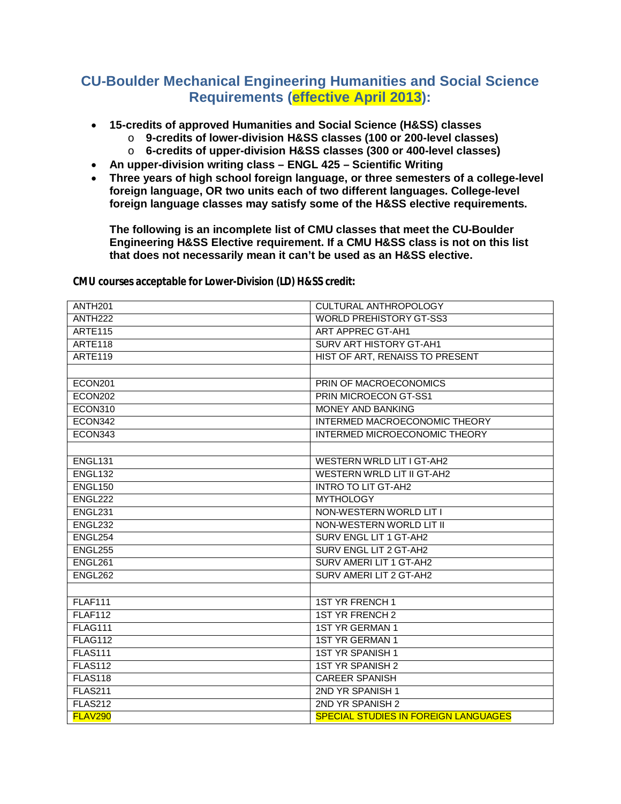## **CU-Boulder Mechanical Engineering Humanities and Social Science Requirements (effective April 2013):**

- **15-credits of approved Humanities and Social Science (H&SS) classes**
	- o **9-credits of lower-division H&SS classes (100 or 200-level classes)**
	- o **6-credits of upper-division H&SS classes (300 or 400-level classes)**
- **An upper-division writing class – ENGL 425 – Scientific Writing**
- **Three years of high school foreign language, or three semesters of a college-level foreign language, OR two units each of two different languages. College-level foreign language classes may satisfy some of the H&SS elective requirements.**

**The following is an incomplete list of CMU classes that meet the CU-Boulder Engineering H&SS Elective requirement. If a CMU H&SS class is not on this list that does not necessarily mean it can't be used as an H&SS elective.**

| <b>ANTH201</b>      | CULTURAL ANTHROPOLOGY                       |
|---------------------|---------------------------------------------|
| ANTH <sub>222</sub> | <b>WORLD PREHISTORY GT-SS3</b>              |
| ARTE115             | <b>ART APPREC GT-AH1</b>                    |
| ARTE118             | <b>SURV ART HISTORY GT-AH1</b>              |
| ARTE119             | HIST OF ART, RENAISS TO PRESENT             |
|                     |                                             |
| ECON <sub>201</sub> | PRIN OF MACROECONOMICS                      |
| ECON202             | PRIN MICROECON GT-SS1                       |
| <b>ECON310</b>      | MONEY AND BANKING                           |
| ECON342             | INTERMED MACROECONOMIC THEORY               |
| ECON343             | INTERMED MICROECONOMIC THEORY               |
|                     |                                             |
| ENGL131             | <b>WESTERN WRLD LIT I GT-AH2</b>            |
| ENGL132             | <b>WESTERN WRLD LIT II GT-AH2</b>           |
| ENGL150             | <b>INTRO TO LIT GT-AH2</b>                  |
| ENGL222             | <b>MYTHOLOGY</b>                            |
| ENGL231             | NON-WESTERN WORLD LIT I                     |
| ENGL232             | NON-WESTERN WORLD LIT II                    |
| <b>ENGL254</b>      | <b>SURV ENGL LIT 1 GT-AH2</b>               |
| <b>ENGL255</b>      | SURV ENGL LIT 2 GT-AH2                      |
| ENGL261             | SURV AMERI LIT 1 GT-AH2                     |
| ENGL262             | <b>SURV AMERI LIT 2 GT-AH2</b>              |
|                     |                                             |
| FLAF111             | <b>1ST YR FRENCH 1</b>                      |
| <b>FLAF112</b>      | 1ST YR FRENCH 2                             |
| <b>FLAG111</b>      | 1ST YR GERMAN 1                             |
| <b>FLAG112</b>      | 1ST YR GERMAN 1                             |
| <b>FLAS111</b>      | 1ST YR SPANISH 1                            |
| <b>FLAS112</b>      | 1ST YR SPANISH 2                            |
| <b>FLAS118</b>      | <b>CAREER SPANISH</b>                       |
| <b>FLAS211</b>      | 2ND YR SPANISH 1                            |
| <b>FLAS212</b>      | 2ND YR SPANISH 2                            |
| <b>FLAV290</b>      | <b>SPECIAL STUDIES IN FOREIGN LANGUAGES</b> |
|                     |                                             |

**CMU courses acceptable for Lower-Division (LD) H&SS credit:**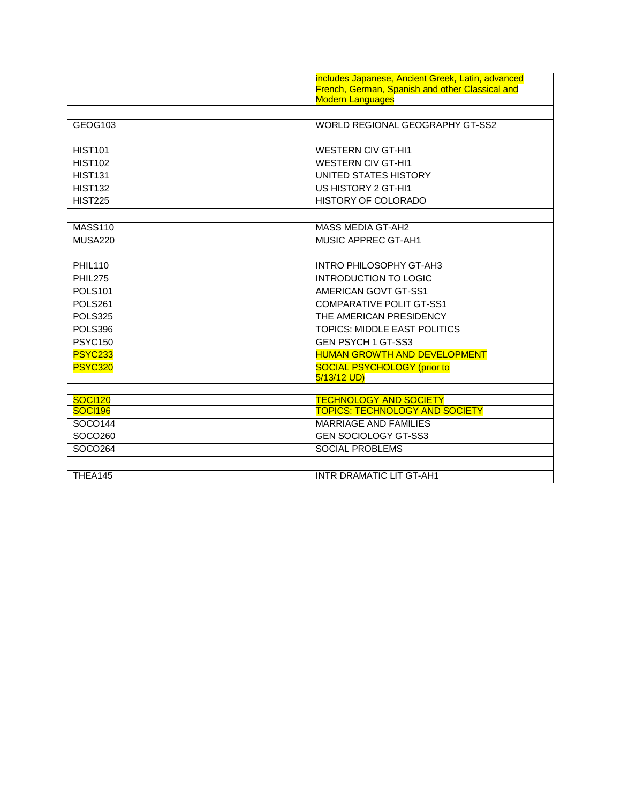|                | includes Japanese, Ancient Greek, Latin, advanced<br>French, German, Spanish and other Classical and<br><b>Modern Languages</b> |
|----------------|---------------------------------------------------------------------------------------------------------------------------------|
|                |                                                                                                                                 |
| GEOG103        | WORLD REGIONAL GEOGRAPHY GT-SS2                                                                                                 |
|                |                                                                                                                                 |
| <b>HIST101</b> | <b>WESTERN CIV GT-HI1</b>                                                                                                       |
| <b>HIST102</b> | <b>WESTERN CIV GT-HI1</b>                                                                                                       |
| <b>HIST131</b> | <b>UNITED STATES HISTORY</b>                                                                                                    |
| <b>HIST132</b> | <b>US HISTORY 2 GT-HI1</b>                                                                                                      |
| <b>HIST225</b> | <b>HISTORY OF COLORADO</b>                                                                                                      |
|                |                                                                                                                                 |
| <b>MASS110</b> | <b>MASS MEDIA GT-AH2</b>                                                                                                        |
| MUSA220        | <b>MUSIC APPREC GT-AH1</b>                                                                                                      |
|                |                                                                                                                                 |
| <b>PHIL110</b> | <b>INTRO PHILOSOPHY GT-AH3</b>                                                                                                  |
| <b>PHIL275</b> | <b>INTRODUCTION TO LOGIC</b>                                                                                                    |
| <b>POLS101</b> | AMERICAN GOVT GT-SS1                                                                                                            |
| <b>POLS261</b> | <b>COMPARATIVE POLIT GT-SS1</b>                                                                                                 |
| <b>POLS325</b> | THE AMERICAN PRESIDENCY                                                                                                         |
| <b>POLS396</b> | <b>TOPICS: MIDDLE EAST POLITICS</b>                                                                                             |
| <b>PSYC150</b> | <b>GEN PSYCH 1 GT-SS3</b>                                                                                                       |
| <b>PSYC233</b> | <b>HUMAN GROWTH AND DEVELOPMENT</b>                                                                                             |
| <b>PSYC320</b> | <b>SOCIAL PSYCHOLOGY (prior to</b><br>5/13/12 UD)                                                                               |
|                |                                                                                                                                 |
| <b>SOCI120</b> | <b>TECHNOLOGY AND SOCIETY</b>                                                                                                   |
| <b>SOCI196</b> | <b>TOPICS: TECHNOLOGY AND SOCIETY</b>                                                                                           |
| SOCO144        | MARRIAGE AND FAMILIES                                                                                                           |
| SOCO260        | <b>GEN SOCIOLOGY GT-SS3</b>                                                                                                     |
| SOCO264        | <b>SOCIAL PROBLEMS</b>                                                                                                          |
| THEA145        | <b>INTR DRAMATIC LIT GT-AH1</b>                                                                                                 |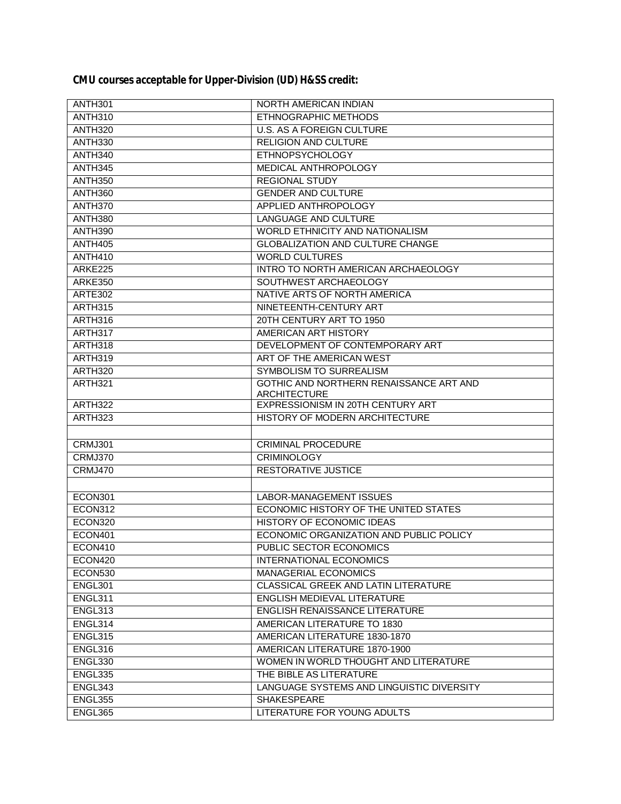**CMU courses acceptable for Upper-Division (UD) H&SS credit:**

| ANTH <sub>301</sub> | NORTH AMERICAN INDIAN                                          |
|---------------------|----------------------------------------------------------------|
| <b>ANTH310</b>      | <b>ETHNOGRAPHIC METHODS</b>                                    |
| <b>ANTH320</b>      | <b>U.S. AS A FOREIGN CULTURE</b>                               |
| <b>ANTH330</b>      | <b>RELIGION AND CULTURE</b>                                    |
| <b>ANTH340</b>      | <b>ETHNOPSYCHOLOGY</b>                                         |
| ANTH345             | MEDICAL ANTHROPOLOGY                                           |
| <b>ANTH350</b>      | <b>REGIONAL STUDY</b>                                          |
| ANTH360             | <b>GENDER AND CULTURE</b>                                      |
| ANTH370             | <b>APPLIED ANTHROPOLOGY</b>                                    |
| <b>ANTH380</b>      | <b>LANGUAGE AND CULTURE</b>                                    |
| <b>ANTH390</b>      | <b>WORLD ETHNICITY AND NATIONALISM</b>                         |
| <b>ANTH405</b>      | <b>GLOBALIZATION AND CULTURE CHANGE</b>                        |
| ANTH410             | <b>WORLD CULTURES</b>                                          |
| ARKE225             | INTRO TO NORTH AMERICAN ARCHAEOLOGY                            |
| <b>ARKE350</b>      | SOUTHWEST ARCHAEOLOGY                                          |
| ARTE302             | NATIVE ARTS OF NORTH AMERICA                                   |
| ARTH315             | NINETEENTH-CENTURY ART                                         |
| ARTH316             | 20TH CENTURY ART TO 1950                                       |
| ARTH317             | <b>AMERICAN ART HISTORY</b>                                    |
| ARTH318             | DEVELOPMENT OF CONTEMPORARY ART                                |
| ARTH319             | ART OF THE AMERICAN WEST                                       |
| ARTH320             | <b>SYMBOLISM TO SURREALISM</b>                                 |
| ARTH321             | GOTHIC AND NORTHERN RENAISSANCE ART AND<br><b>ARCHITECTURE</b> |
| ARTH322             | EXPRESSIONISM IN 20TH CENTURY ART                              |
| ARTH323             | HISTORY OF MODERN ARCHITECTURE                                 |
|                     |                                                                |
| <b>CRMJ301</b>      | <b>CRIMINAL PROCEDURE</b>                                      |
| CRMJ370             | <b>CRIMINOLOGY</b>                                             |
| <b>CRMJ470</b>      | <b>RESTORATIVE JUSTICE</b>                                     |
|                     |                                                                |
| ECON301             | <b>LABOR-MANAGEMENT ISSUES</b>                                 |
| ECON312             | ECONOMIC HISTORY OF THE UNITED STATES                          |
| ECON320             | <b>HISTORY OF ECONOMIC IDEAS</b>                               |
| ECON401             | ECONOMIC ORGANIZATION AND PUBLIC POLICY                        |
| ECON410             | PUBLIC SECTOR ECONOMICS                                        |
| ECON420             | <b>INTERNATIONAL ECONOMICS</b>                                 |
| ECON530             | MANAGERIAL ECONOMICS                                           |
| <b>ENGL301</b>      | CLASSICAL GREEK AND LATIN LITERATURE                           |
| <b>ENGL311</b>      | <b>ENGLISH MEDIEVAL LITERATURE</b>                             |
| ENGL313             | <b>ENGLISH RENAISSANCE LITERATURE</b>                          |
| ENGL314             | <b>AMERICAN LITERATURE TO 1830</b>                             |
| ENGL315             | AMERICAN LITERATURE 1830-1870                                  |
| ENGL316             | AMERICAN LITERATURE 1870-1900                                  |
| <b>ENGL330</b>      | WOMEN IN WORLD THOUGHT AND LITERATURE                          |
| <b>ENGL335</b>      | THE BIBLE AS LITERATURE                                        |
| ENGL343             | LANGUAGE SYSTEMS AND LINGUISTIC DIVERSITY                      |
| <b>ENGL355</b>      | <b>SHAKESPEARE</b>                                             |
| <b>ENGL365</b>      | LITERATURE FOR YOUNG ADULTS                                    |
|                     |                                                                |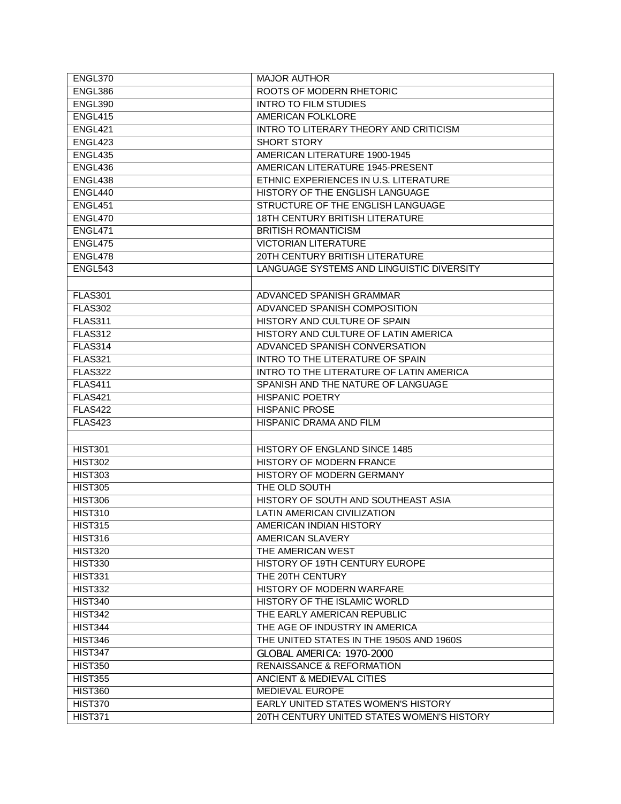| ENGL370        | <b>MAJOR AUTHOR</b>                        |
|----------------|--------------------------------------------|
| ENGL386        | ROOTS OF MODERN RHETORIC                   |
| ENGL390        | <b>INTRO TO FILM STUDIES</b>               |
| <b>ENGL415</b> | AMERICAN FOLKLORE                          |
| <b>ENGL421</b> | INTRO TO LITERARY THEORY AND CRITICISM     |
| ENGL423        | SHORT STORY                                |
| <b>ENGL435</b> | AMERICAN LITERATURE 1900-1945              |
| ENGL436        | AMERICAN LITERATURE 1945-PRESENT           |
| ENGL438        | ETHNIC EXPERIENCES IN U.S. LITERATURE      |
| ENGL440        | <b>HISTORY OF THE ENGLISH LANGUAGE</b>     |
| ENGL451        | STRUCTURE OF THE ENGLISH LANGUAGE          |
| <b>ENGL470</b> | <b>18TH CENTURY BRITISH LITERATURE</b>     |
| ENGL471        | <b>BRITISH ROMANTICISM</b>                 |
| <b>ENGL475</b> | <b>VICTORIAN LITERATURE</b>                |
| ENGL478        | 20TH CENTURY BRITISH LITERATURE            |
| ENGL543        | LANGUAGE SYSTEMS AND LINGUISTIC DIVERSITY  |
|                |                                            |
| <b>FLAS301</b> | ADVANCED SPANISH GRAMMAR                   |
| <b>FLAS302</b> | ADVANCED SPANISH COMPOSITION               |
| <b>FLAS311</b> | HISTORY AND CULTURE OF SPAIN               |
| <b>FLAS312</b> | HISTORY AND CULTURE OF LATIN AMERICA       |
| <b>FLAS314</b> | ADVANCED SPANISH CONVERSATION              |
| <b>FLAS321</b> | <b>INTRO TO THE LITERATURE OF SPAIN</b>    |
| <b>FLAS322</b> | INTRO TO THE LITERATURE OF LATIN AMERICA   |
| <b>FLAS411</b> | SPANISH AND THE NATURE OF LANGUAGE         |
| <b>FLAS421</b> | <b>HISPANIC POETRY</b>                     |
| <b>FLAS422</b> | <b>HISPANIC PROSE</b>                      |
| <b>FLAS423</b> | HISPANIC DRAMA AND FILM                    |
|                |                                            |
| <b>HIST301</b> | <b>HISTORY OF ENGLAND SINCE 1485</b>       |
| <b>HIST302</b> | <b>HISTORY OF MODERN FRANCE</b>            |
| <b>HIST303</b> | HISTORY OF MODERN GERMANY                  |
| <b>HIST305</b> | THE OLD SOUTH                              |
| <b>HIST306</b> | HISTORY OF SOUTH AND SOUTHEAST ASIA        |
| <b>HIST310</b> | LATIN AMERICAN CIVILIZATION                |
| <b>HIST315</b> | AMERICAN INDIAN HISTORY                    |
| <b>HIST316</b> | AMERICAN SLAVERY                           |
| <b>HIST320</b> | THE AMERICAN WEST                          |
| <b>HIST330</b> | <b>HISTORY OF 19TH CENTURY EUROPE</b>      |
| <b>HIST331</b> | THE 20TH CENTURY                           |
| <b>HIST332</b> | HISTORY OF MODERN WARFARE                  |
| <b>HIST340</b> | HISTORY OF THE ISLAMIC WORLD               |
| <b>HIST342</b> | THE EARLY AMERICAN REPUBLIC                |
| <b>HIST344</b> | THE AGE OF INDUSTRY IN AMERICA             |
| <b>HIST346</b> | THE UNITED STATES IN THE 1950S AND 1960S   |
| <b>HIST347</b> | GLOBAL AMERICA: 1970-2000                  |
| <b>HIST350</b> | <b>RENAISSANCE &amp; REFORMATION</b>       |
| <b>HIST355</b> | ANCIENT & MEDIEVAL CITIES                  |
| <b>HIST360</b> | <b>MEDIEVAL EUROPE</b>                     |
| <b>HIST370</b> | <b>EARLY UNITED STATES WOMEN'S HISTORY</b> |
| <b>HIST371</b> | 20TH CENTURY UNITED STATES WOMEN'S HISTORY |
|                |                                            |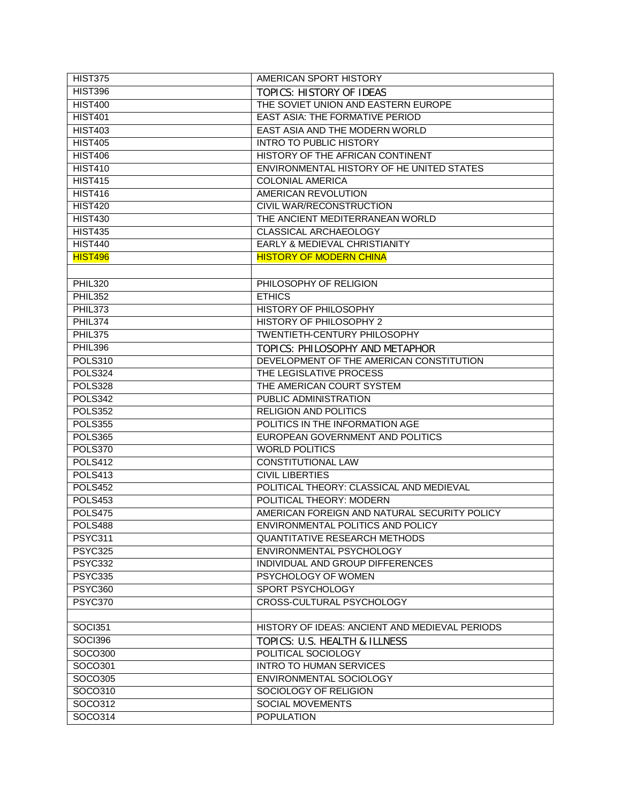| <b>HIST375</b> | AMERICAN SPORT HISTORY                         |
|----------------|------------------------------------------------|
| <b>HIST396</b> | <b>TOPICS: HISTORY OF IDEAS</b>                |
| <b>HIST400</b> | THE SOVIET UNION AND EASTERN EUROPE            |
| <b>HIST401</b> | <b>EAST ASIA: THE FORMATIVE PERIOD</b>         |
| <b>HIST403</b> | EAST ASIA AND THE MODERN WORLD                 |
| <b>HIST405</b> | <b>INTRO TO PUBLIC HISTORY</b>                 |
| <b>HIST406</b> | HISTORY OF THE AFRICAN CONTINENT               |
| <b>HIST410</b> | ENVIRONMENTAL HISTORY OF HE UNITED STATES      |
| <b>HIST415</b> | <b>COLONIAL AMERICA</b>                        |
| <b>HIST416</b> | <b>AMERICAN REVOLUTION</b>                     |
| <b>HIST420</b> | <b>CIVIL WAR/RECONSTRUCTION</b>                |
| <b>HIST430</b> | THE ANCIENT MEDITERRANEAN WORLD                |
| <b>HIST435</b> | <b>CLASSICAL ARCHAEOLOGY</b>                   |
| <b>HIST440</b> | <b>EARLY &amp; MEDIEVAL CHRISTIANITY</b>       |
| <b>HIST496</b> | <b>HISTORY OF MODERN CHINA</b>                 |
|                |                                                |
| <b>PHIL320</b> | PHILOSOPHY OF RELIGION                         |
| <b>PHIL352</b> | <b>ETHICS</b>                                  |
| <b>PHIL373</b> | <b>HISTORY OF PHILOSOPHY</b>                   |
| <b>PHIL374</b> | HISTORY OF PHILOSOPHY 2                        |
| PHIL375        | <b>TWENTIETH-CENTURY PHILOSOPHY</b>            |
| <b>PHIL396</b> |                                                |
|                | TOPICS: PHILOSOPHY AND METAPHOR                |
| <b>POLS310</b> | DEVELOPMENT OF THE AMERICAN CONSTITUTION       |
| <b>POLS324</b> | THE LEGISLATIVE PROCESS                        |
| <b>POLS328</b> | THE AMERICAN COURT SYSTEM                      |
| <b>POLS342</b> | <b>PUBLIC ADMINISTRATION</b>                   |
| <b>POLS352</b> | <b>RELIGION AND POLITICS</b>                   |
| <b>POLS355</b> | POLITICS IN THE INFORMATION AGE                |
| <b>POLS365</b> | EUROPEAN GOVERNMENT AND POLITICS               |
| POLS370        | <b>WORLD POLITICS</b>                          |
| <b>POLS412</b> | <b>CONSTITUTIONAL LAW</b>                      |
| <b>POLS413</b> | <b>CIVIL LIBERTIES</b>                         |
| <b>POLS452</b> | POLITICAL THEORY: CLASSICAL AND MEDIEVAL       |
| <b>POLS453</b> | POLITICAL THEORY: MODERN                       |
| <b>POLS475</b> | AMERICAN FOREIGN AND NATURAL SECURITY POLICY   |
| <b>POLS488</b> | ENVIRONMENTAL POLITICS AND POLICY              |
| <b>PSYC311</b> | <b>QUANTITATIVE RESEARCH METHODS</b>           |
| <b>PSYC325</b> | ENVIRONMENTAL PSYCHOLOGY                       |
| <b>PSYC332</b> | INDIVIDUAL AND GROUP DIFFERENCES               |
| <b>PSYC335</b> | PSYCHOLOGY OF WOMEN                            |
| <b>PSYC360</b> | <b>SPORT PSYCHOLOGY</b>                        |
| <b>PSYC370</b> | CROSS-CULTURAL PSYCHOLOGY                      |
|                |                                                |
| <b>SOCI351</b> | HISTORY OF IDEAS: ANCIENT AND MEDIEVAL PERIODS |
| <b>SOCI396</b> | TOPICS: U.S. HEALTH & ILLNESS                  |
| SOCO300        | POLITICAL SOCIOLOGY                            |
| SOCO301        | <b>INTRO TO HUMAN SERVICES</b>                 |
| SOCO305        | ENVIRONMENTAL SOCIOLOGY                        |
| SOCO310        | SOCIOLOGY OF RELIGION                          |
| SOCO312        | <b>SOCIAL MOVEMENTS</b>                        |
| SOCO314        | <b>POPULATION</b>                              |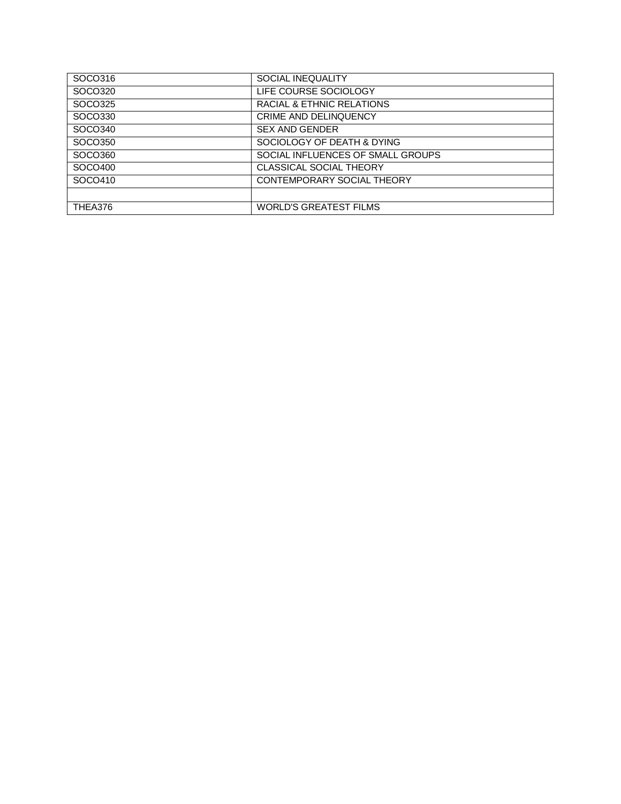| SOCO316 | SOCIAL INEQUALITY                    |
|---------|--------------------------------------|
| SOCO320 | LIFE COURSE SOCIOLOGY                |
| SOCO325 | <b>RACIAL &amp; ETHNIC RELATIONS</b> |
| SOCO330 | <b>CRIME AND DELINQUENCY</b>         |
| SOCO340 | <b>SEX AND GENDER</b>                |
| SOCO350 | SOCIOLOGY OF DEATH & DYING           |
| SOCO360 | SOCIAL INFLUENCES OF SMALL GROUPS    |
| SOCO400 | <b>CLASSICAL SOCIAL THEORY</b>       |
| SOCO410 | CONTEMPORARY SOCIAL THEORY           |
|         |                                      |
| THEA376 | <b>WORLD'S GREATEST FILMS</b>        |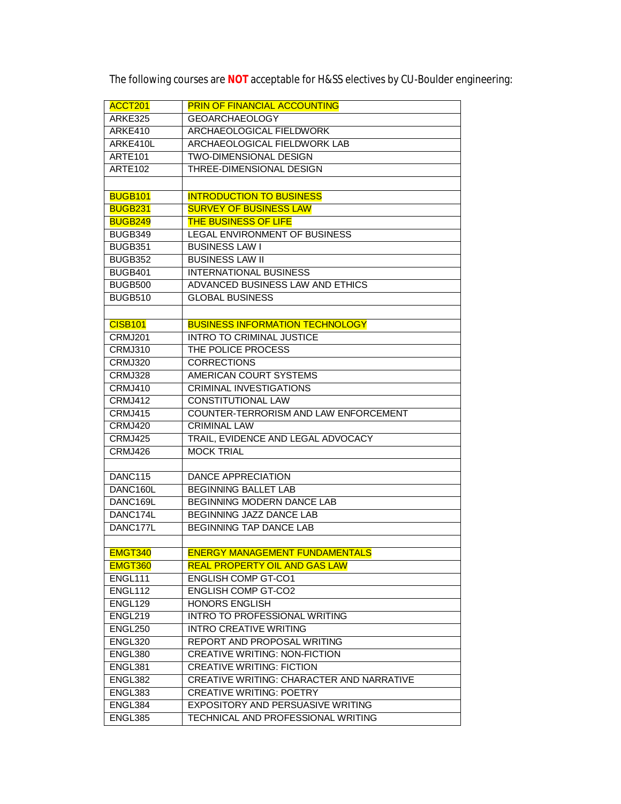The following courses are **NOT** acceptable for H&SS electives by CU-Boulder engineering:

| ACCT <sub>201</sub> | <b>PRIN OF FINANCIAL ACCOUNTING</b>       |
|---------------------|-------------------------------------------|
| ARKE325             | <b>GEOARCHAEOLOGY</b>                     |
| ARKE410             | ARCHAEOLOGICAL FIELDWORK                  |
| ARKE410L            | ARCHAEOLOGICAL FIELDWORK LAB              |
| <b>ARTE101</b>      | <b>TWO-DIMENSIONAL DESIGN</b>             |
| <b>ARTE102</b>      | THREE-DIMENSIONAL DESIGN                  |
|                     |                                           |
| <b>BUGB101</b>      | <b>INTRODUCTION TO BUSINESS</b>           |
| <b>BUGB231</b>      | <b>SURVEY OF BUSINESS LAW</b>             |
| <b>BUGB249</b>      | <b>THE BUSINESS OF LIFE</b>               |
| BUGB349             | <b>LEGAL ENVIRONMENT OF BUSINESS</b>      |
| <b>BUGB351</b>      | <b>BUSINESS LAW I</b>                     |
| <b>BUGB352</b>      | <b>BUSINESS LAW II</b>                    |
| <b>BUGB401</b>      | <b>INTERNATIONAL BUSINESS</b>             |
| <b>BUGB500</b>      | ADVANCED BUSINESS LAW AND ETHICS          |
| <b>BUGB510</b>      | <b>GLOBAL BUSINESS</b>                    |
|                     |                                           |
| <b>CISB101</b>      | <b>BUSINESS INFORMATION TECHNOLOGY</b>    |
| CRMJ201             | <b>INTRO TO CRIMINAL JUSTICE</b>          |
| CRMJ310             | THE POLICE PROCESS                        |
| <b>CRMJ320</b>      | <b>CORRECTIONS</b>                        |
| CRMJ328             | <b>AMERICAN COURT SYSTEMS</b>             |
| CRMJ410             | <b>CRIMINAL INVESTIGATIONS</b>            |
| CRMJ412             | <b>CONSTITUTIONAL LAW</b>                 |
| CRMJ415             | COUNTER-TERRORISM AND LAW ENFORCEMENT     |
| CRMJ420             | <b>CRIMINAL LAW</b>                       |
| CRMJ425             | TRAIL, EVIDENCE AND LEGAL ADVOCACY        |
| CRMJ426             | <b>MOCK TRIAL</b>                         |
|                     |                                           |
| DANC115             | <b>DANCE APPRECIATION</b>                 |
| DANC160L            | <b>BEGINNING BALLET LAB</b>               |
| DANC169L            | BEGINNING MODERN DANCE LAB                |
| DANC174L            | BEGINNING JAZZ DANCE LAB                  |
| DANC177L            | <b>BEGINNING TAP DANCE LAB</b>            |
|                     |                                           |
| EMGT340             | <b>ENERGY MANAGEMENT FUNDAMENTALS</b>     |
| <b>EMGT360</b>      | <b>REAL PROPERTY OIL AND GAS LAW</b>      |
| ENGL111             | <b>ENGLISH COMP GT-CO1</b>                |
| ENGL112             | <b>ENGLISH COMP GT-CO2</b>                |
| ENGL129             | <b>HONORS ENGLISH</b>                     |
| ENGL219             | <b>INTRO TO PROFESSIONAL WRITING</b>      |
| ENGL250             | <b>INTRO CREATIVE WRITING</b>             |
| ENGL320             | REPORT AND PROPOSAL WRITING               |
| ENGL380             | <b>CREATIVE WRITING: NON-FICTION</b>      |
| ENGL381             | <b>CREATIVE WRITING: FICTION</b>          |
| ENGL382             | CREATIVE WRITING: CHARACTER AND NARRATIVE |
| ENGL383             | <b>CREATIVE WRITING: POETRY</b>           |
| ENGL384             | <b>EXPOSITORY AND PERSUASIVE WRITING</b>  |
| <b>ENGL385</b>      | TECHNICAL AND PROFESSIONAL WRITING        |
|                     |                                           |